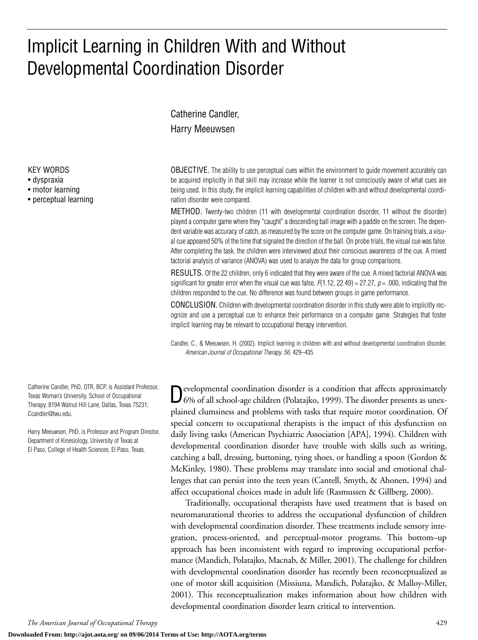# Implicit Learning in Children With and Without Developmental Coordination Disorder

Catherine Candler, Harry Meeuwsen

OBJECTIVE. The ability to use perceptual cues within the environment to guide movement accurately can be acquired implicitly in that skill may increase while the learner is not consciously aware of what cues are being used. In this study, the implicit learning capabilities of children with and without developmental coordination disorder were compared.

METHOD. Twenty-two children (11 with developmental coordination disorder, 11 without the disorder) played a computer game where they "caught" a descending ball image with a paddle on the screen. The dependent variable was accuracy of catch, as measured by the score on the computer game. On training trials, a visual cue appeared 50% of the time that signaled the direction of the ball. On probe trials, the visual cue was false. After completing the task, the children were interviewed about their conscious awareness of the cue. A mixed factorial analysis of variance (ANOVA) was used to analyze the data for group comparisons.

RESULTS. Of the 22 children, only 6 indicated that they were aware of the cue. A mixed factorial ANOVA was significant for greater error when the visual cue was false, *F*(1.12, 22.49) = 27.27, *p* = .000, indicating that the children responded to the cue. No difference was found between groups in game performance.

CONCLUSION. Children with developmental coordination disorder in this study were able to implicitly recognize and use a perceptual cue to enhance their performance on a computer game. Strategies that foster implicit learning may be relevant to occupational therapy intervention.

Candler, C., & Meeuwsen, H. (2002). Implicit learning in children with and without developmental coordination disorder. *American Journal of Occupational Therapy, 56*, 429–435.

evelopmental coordination disorder is a condition that affects approximately 6% of all school-age children (Polatajko, 1999). The disorder presents as unexplained clumsiness and problems with tasks that require motor coordination. Of special concern to occupational therapists is the impact of this dysfunction on daily living tasks (American Psychiatric Association [APA], 1994). Children with developmental coordination disorder have trouble with skills such as writing, catching a ball, dressing, buttoning, tying shoes, or handling a spoon (Gordon & McKinley, 1980). These problems may translate into social and emotional challenges that can persist into the teen years (Cantell, Smyth, & Ahonen, 1994) and affect occupational choices made in adult life (Rasmussen & Gillberg, 2000).

Traditionally, occupational therapists have used treatment that is based on neuromaturational theories to address the occupational dysfunction of children with developmental coordination disorder. These treatments include sensory integration, process-oriented, and perceptual-motor programs. This bottom–up approach has been inconsistent with regard to improving occupational performance (Mandich, Polatajko, Macnab, & Miller, 2001). The challenge for children with developmental coordination disorder has recently been reconceptualized as one of motor skill acquisition (Missiuna, Mandich, Polatajko, & Malloy-Miller, 2001). This reconceptualization makes information about how children with developmental coordination disorder learn critical to intervention.

KEY WORDS

- dyspraxia
- motor learning
- perceptual learning

Catherine Candler, PhD, OTR, BCP, is Assistant Professor, Texas Woman's University, School of Occupational Therapy, 8194 Walnut Hill Lane, Dallas, Texas 75231; Ccandler@twu.edu.

Harry Meeuwsen, PhD, is Professor and Program Director, Department of Kinesiology, University of Texas at El Paso, College of Health Sciences, El Paso, Texas.

*The American Journal of Occupational Therapy* 429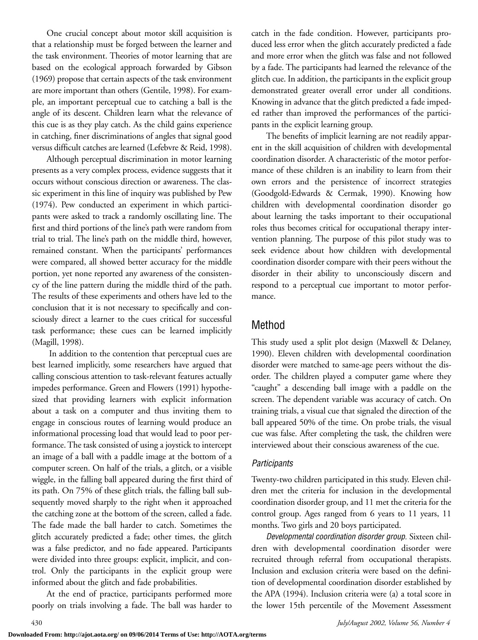One crucial concept about motor skill acquisition is that a relationship must be forged between the learner and the task environment. Theories of motor learning that are based on the ecological approach forwarded by Gibson (1969) propose that certain aspects of the task environment are more important than others (Gentile, 1998). For example, an important perceptual cue to catching a ball is the angle of its descent. Children learn what the relevance of this cue is as they play catch. As the child gains experience in catching, finer discriminations of angles that signal good versus difficult catches are learned (Lefebvre & Reid, 1998).

Although perceptual discrimination in motor learning presents as a very complex process, evidence suggests that it occurs without conscious direction or awareness. The classic experiment in this line of inquiry was published by Pew (1974). Pew conducted an experiment in which participants were asked to track a randomly oscillating line. The first and third portions of the line's path were random from trial to trial. The line's path on the middle third, however, remained constant. When the participants' performances were compared, all showed better accuracy for the middle portion, yet none reported any awareness of the consistency of the line pattern during the middle third of the path. The results of these experiments and others have led to the conclusion that it is not necessary to specifically and consciously direct a learner to the cues critical for successful task performance; these cues can be learned implicitly (Magill, 1998).

In addition to the contention that perceptual cues are best learned implicitly, some researchers have argued that calling conscious attention to task-relevant features actually impedes performance. Green and Flowers (1991) hypothesized that providing learners with explicit information about a task on a computer and thus inviting them to engage in conscious routes of learning would produce an informational processing load that would lead to poor performance. The task consisted of using a joystick to intercept an image of a ball with a paddle image at the bottom of a computer screen. On half of the trials, a glitch, or a visible wiggle, in the falling ball appeared during the first third of its path. On 75% of these glitch trials, the falling ball subsequently moved sharply to the right when it approached the catching zone at the bottom of the screen, called a fade. The fade made the ball harder to catch. Sometimes the glitch accurately predicted a fade; other times, the glitch was a false predictor, and no fade appeared. Participants were divided into three groups: explicit, implicit, and control. Only the participants in the explicit group were informed about the glitch and fade probabilities.

At the end of practice, participants performed more poorly on trials involving a fade. The ball was harder to

catch in the fade condition. However, participants produced less error when the glitch accurately predicted a fade and more error when the glitch was false and not followed by a fade. The participants had learned the relevance of the glitch cue. In addition, the participants in the explicit group demonstrated greater overall error under all conditions. Knowing in advance that the glitch predicted a fade impeded rather than improved the performances of the participants in the explicit learning group.

The benefits of implicit learning are not readily apparent in the skill acquisition of children with developmental coordination disorder. A characteristic of the motor performance of these children is an inability to learn from their own errors and the persistence of incorrect strategies (Goodgold-Edwards & Cermak, 1990). Knowing how children with developmental coordination disorder go about learning the tasks important to their occupational roles thus becomes critical for occupational therapy intervention planning. The purpose of this pilot study was to seek evidence about how children with developmental coordination disorder compare with their peers without the disorder in their ability to unconsciously discern and respond to a perceptual cue important to motor performance.

# Method

This study used a split plot design (Maxwell & Delaney, 1990). Eleven children with developmental coordination disorder were matched to same-age peers without the disorder. The children played a computer game where they "caught" a descending ball image with a paddle on the screen. The dependent variable was accuracy of catch. On training trials, a visual cue that signaled the direction of the ball appeared 50% of the time. On probe trials, the visual cue was false. After completing the task, the children were interviewed about their conscious awareness of the cue.

## *Participants*

Twenty-two children participated in this study. Eleven children met the criteria for inclusion in the developmental coordination disorder group, and 11 met the criteria for the control group. Ages ranged from 6 years to 11 years, 11 months. Two girls and 20 boys participated.

*Developmental coordination disorder group.* Sixteen children with developmental coordination disorder were recruited through referral from occupational therapists. Inclusion and exclusion criteria were based on the definition of developmental coordination disorder established by the APA (1994). Inclusion criteria were (a) a total score in the lower 15th percentile of the Movement Assessment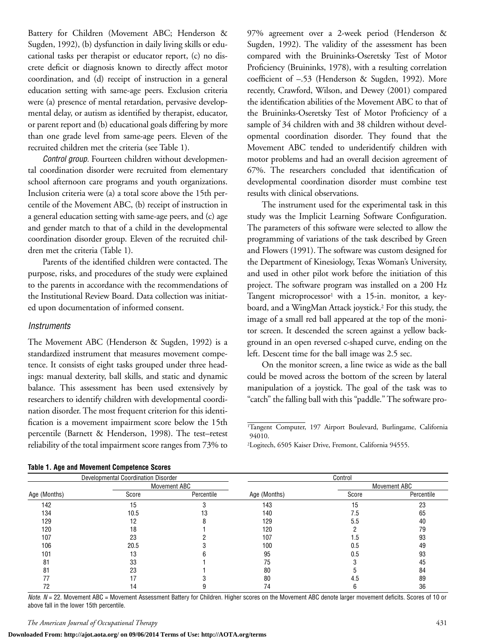Battery for Children (Movement ABC; Henderson & Sugden, 1992), (b) dysfunction in daily living skills or educational tasks per therapist or educator report, (c) no discrete deficit or diagnosis known to directly affect motor coordination, and (d) receipt of instruction in a general education setting with same-age peers. Exclusion criteria were (a) presence of mental retardation, pervasive developmental delay, or autism as identified by therapist, educator, or parent report and (b) educational goals differing by more than one grade level from same-age peers. Eleven of the recruited children met the criteria (see Table 1).

*Control group.* Fourteen children without developmental coordination disorder were recruited from elementary school afternoon care programs and youth organizations. Inclusion criteria were (a) a total score above the 15th percentile of the Movement ABC, (b) receipt of instruction in a general education setting with same-age peers, and (c) age and gender match to that of a child in the developmental coordination disorder group. Eleven of the recruited children met the criteria (Table 1).

Parents of the identified children were contacted. The purpose, risks, and procedures of the study were explained to the parents in accordance with the recommendations of the Institutional Review Board. Data collection was initiated upon documentation of informed consent.

#### *Instruments*

The Movement ABC (Henderson & Sugden, 1992) is a standardized instrument that measures movement competence. It consists of eight tasks grouped under three headings: manual dexterity, ball skills, and static and dynamic balance. This assessment has been used extensively by researchers to identify children with developmental coordination disorder. The most frequent criterion for this identification is a movement impairment score below the 15th percentile (Barnett & Henderson, 1998). The test–retest reliability of the total impairment score ranges from 73% to

|  |  |  |  |  | Table 1. Age and Movement Competence Scores |  |  |  |
|--|--|--|--|--|---------------------------------------------|--|--|--|
|--|--|--|--|--|---------------------------------------------|--|--|--|

97% agreement over a 2-week period (Henderson & Sugden, 1992). The validity of the assessment has been compared with the Bruininks-Oseretsky Test of Motor Proficiency (Bruininks, 1978), with a resulting correlation coefficient of –.53 (Henderson & Sugden, 1992). More recently, Crawford, Wilson, and Dewey (2001) compared the identification abilities of the Movement ABC to that of the Bruininks-Oseretsky Test of Motor Proficiency of a sample of 34 children with and 38 children without developmental coordination disorder. They found that the Movement ABC tended to underidentify children with motor problems and had an overall decision agreement of 67%. The researchers concluded that identification of developmental coordination disorder must combine test results with clinical observations.

The instrument used for the experimental task in this study was the Implicit Learning Software Configuration. The parameters of this software were selected to allow the programming of variations of the task described by Green and Flowers (1991). The software was custom designed for the Department of Kinesiology, Texas Woman's University, and used in other pilot work before the initiation of this project. The software program was installed on a 200 Hz Tangent microprocessor<sup>1</sup> with a 15-in. monitor, a keyboard, and a WingMan Attack joystick.2 For this study, the image of a small red ball appeared at the top of the monitor screen. It descended the screen against a yellow background in an open reversed c-shaped curve, ending on the left. Descent time for the ball image was 2.5 sec.

On the monitor screen, a line twice as wide as the ball could be moved across the bottom of the screen by lateral manipulation of a joystick. The goal of the task was to "catch" the falling ball with this "paddle." The software pro-

2Logitech, 6505 Kaiser Drive, Fremont, California 94555.

|              | Tasto T. Ago and movement compotence cooled |              |              |              |            |  |
|--------------|---------------------------------------------|--------------|--------------|--------------|------------|--|
|              | Developmental Coordination Disorder         |              | Control      |              |            |  |
| Age (Months) |                                             | Movement ABC | Age (Months) | Movement ABC |            |  |
|              | Score                                       | Percentile   |              | Score        | Percentile |  |
| 142          | 15                                          |              | 143          | 15           | 23         |  |
| 134          | 10.5                                        | 13           | 140          | 7.5          | 65         |  |
| 129          | 12                                          |              | 129          | 5.5          | 40         |  |
| 120          | 18                                          |              | 120          |              | 79         |  |
| 107          | 23                                          |              | 107          | 1.5          | 93         |  |
| 106          | 20.5                                        |              | 100          | 0.5          | 49         |  |
| 101          | 13                                          |              | 95           | 0.5          | 93         |  |
| 81           | 33                                          |              | 75           |              | 45         |  |
| 81           | 23                                          |              | 80           |              | 84         |  |
|              |                                             |              | 80           | 4.5          | 89         |  |
| 72           | 14                                          |              | 74           |              | 36         |  |

*Note. N* = 22. Movement ABC = Movement Assessment Battery for Children. Higher scores on the Movement ABC denote larger movement deficits. Scores of 10 or above fall in the lower 15th percentile.

**Downloaded From: http://ajot.aota.org/ on 09/06/2014 Terms of Use: http://AOTA.org/terms**

<sup>&</sup>lt;sup>1</sup>Tangent Computer, 197 Airport Boulevard, Burlingame, California 94010.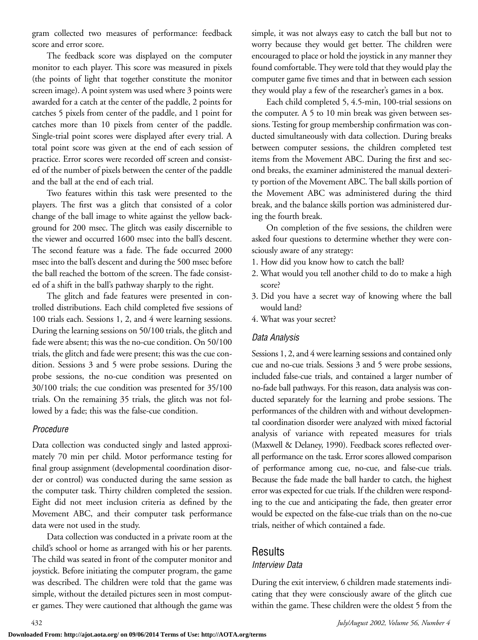gram collected two measures of performance: feedback score and error score.

The feedback score was displayed on the computer monitor to each player. This score was measured in pixels (the points of light that together constitute the monitor screen image). A point system was used where 3 points were awarded for a catch at the center of the paddle, 2 points for catches 5 pixels from center of the paddle, and 1 point for catches more than 10 pixels from center of the paddle. Single-trial point scores were displayed after every trial. A total point score was given at the end of each session of practice. Error scores were recorded off screen and consisted of the number of pixels between the center of the paddle and the ball at the end of each trial.

Two features within this task were presented to the players. The first was a glitch that consisted of a color change of the ball image to white against the yellow background for 200 msec. The glitch was easily discernible to the viewer and occurred 1600 msec into the ball's descent. The second feature was a fade. The fade occurred 2000 msec into the ball's descent and during the 500 msec before the ball reached the bottom of the screen. The fade consisted of a shift in the ball's pathway sharply to the right.

The glitch and fade features were presented in controlled distributions. Each child completed five sessions of 100 trials each. Sessions 1, 2, and 4 were learning sessions. During the learning sessions on 50/100 trials, the glitch and fade were absent; this was the no-cue condition. On 50/100 trials, the glitch and fade were present; this was the cue condition. Sessions 3 and 5 were probe sessions. During the probe sessions, the no-cue condition was presented on 30/100 trials; the cue condition was presented for 35/100 trials. On the remaining 35 trials, the glitch was not followed by a fade; this was the false-cue condition.

### *Procedure*

Data collection was conducted singly and lasted approximately 70 min per child. Motor performance testing for final group assignment (developmental coordination disorder or control) was conducted during the same session as the computer task. Thirty children completed the session. Eight did not meet inclusion criteria as defined by the Movement ABC, and their computer task performance data were not used in the study.

Data collection was conducted in a private room at the child's school or home as arranged with his or her parents. The child was seated in front of the computer monitor and joystick. Before initiating the computer program, the game was described. The children were told that the game was simple, without the detailed pictures seen in most computer games. They were cautioned that although the game was simple, it was not always easy to catch the ball but not to worry because they would get better. The children were encouraged to place or hold the joystick in any manner they found comfortable. They were told that they would play the computer game five times and that in between each session they would play a few of the researcher's games in a box.

Each child completed 5, 4.5-min, 100-trial sessions on the computer. A 5 to 10 min break was given between sessions. Testing for group membership confirmation was conducted simultaneously with data collection. During breaks between computer sessions, the children completed test items from the Movement ABC. During the first and second breaks, the examiner administered the manual dexterity portion of the Movement ABC. The ball skills portion of the Movement ABC was administered during the third break, and the balance skills portion was administered during the fourth break.

On completion of the five sessions, the children were asked four questions to determine whether they were consciously aware of any strategy:

- 1. How did you know how to catch the ball?
- 2. What would you tell another child to do to make a high score?
- 3. Did you have a secret way of knowing where the ball would land?
- 4. What was your secret?

## *Data Analysis*

Sessions 1, 2, and 4 were learning sessions and contained only cue and no-cue trials. Sessions 3 and 5 were probe sessions, included false-cue trials, and contained a larger number of no-fade ball pathways. For this reason, data analysis was conducted separately for the learning and probe sessions. The performances of the children with and without developmental coordination disorder were analyzed with mixed factorial analysis of variance with repeated measures for trials (Maxwell & Delaney, 1990). Feedback scores reflected overall performance on the task. Error scores allowed comparison of performance among cue, no-cue, and false-cue trials. Because the fade made the ball harder to catch, the highest error was expected for cue trials. If the children were responding to the cue and anticipating the fade, then greater error would be expected on the false-cue trials than on the no-cue trials, neither of which contained a fade.

## Results *Interview Data*

During the exit interview, 6 children made statements indicating that they were consciously aware of the glitch cue within the game. These children were the oldest 5 from the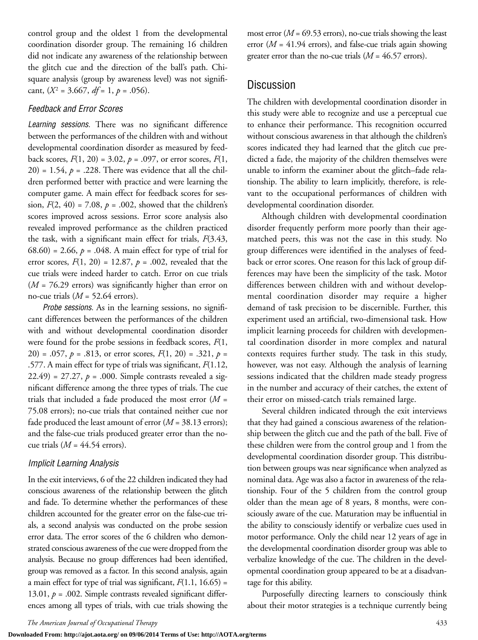control group and the oldest 1 from the developmental coordination disorder group. The remaining 16 children did not indicate any awareness of the relationship between the glitch cue and the direction of the ball's path. Chisquare analysis (group by awareness level) was not significant,  $(X^2 = 3.667, df = 1, p = .056)$ .

#### *Feedback and Error Scores*

*Learning sessions.* There was no significant difference between the performances of the children with and without developmental coordination disorder as measured by feedback scores,  $F(1, 20) = 3.02$ ,  $p = .097$ , or error scores,  $F(1, 20) = 3.02$  $20$ ) = 1.54,  $p = .228$ . There was evidence that all the children performed better with practice and were learning the computer game. A main effect for feedback scores for session,  $F(2, 40) = 7.08$ ,  $p = .002$ , showed that the children's scores improved across sessions. Error score analysis also revealed improved performance as the children practiced the task, with a significant main effect for trials, *F*(3.43, 68.60) = 2.66,  $p = .048$ . A main effect for type of trial for error scores,  $F(1, 20) = 12.87$ ,  $p = .002$ , revealed that the cue trials were indeed harder to catch. Error on cue trials (*M* = 76.29 errors) was significantly higher than error on no-cue trials  $(M = 52.64$  errors).

*Probe sessions.* As in the learning sessions, no significant differences between the performances of the children with and without developmental coordination disorder were found for the probe sessions in feedback scores, *F*(1, 20) = .057,  $p = .813$ , or error scores,  $F(1, 20) = .321$ ,  $p =$ .577. A main effect for type of trials was significant, *F*(1.12, 22.49) = 27.27,  $p = .000$ . Simple contrasts revealed a significant difference among the three types of trials. The cue trials that included a fade produced the most error (*M* = 75.08 errors); no-cue trials that contained neither cue nor fade produced the least amount of error (*M* = 38.13 errors); and the false-cue trials produced greater error than the nocue trials  $(M = 44.54$  errors).

#### *Implicit Learning Analysis*

In the exit interviews, 6 of the 22 children indicated they had conscious awareness of the relationship between the glitch and fade. To determine whether the performances of these children accounted for the greater error on the false-cue trials, a second analysis was conducted on the probe session error data. The error scores of the 6 children who demonstrated conscious awareness of the cue were dropped from the analysis. Because no group differences had been identified, group was removed as a factor. In this second analysis, again a main effect for type of trial was significant,  $F(1.1, 16.65)$  = 13.01,  $p = .002$ . Simple contrasts revealed significant differences among all types of trials, with cue trials showing the most error ( $M = 69.53$  errors), no-cue trials showing the least error (*M* = 41.94 errors), and false-cue trials again showing greater error than the no-cue trials (*M* = 46.57 errors).

## **Discussion**

The children with developmental coordination disorder in this study were able to recognize and use a perceptual cue to enhance their performance. This recognition occurred without conscious awareness in that although the children's scores indicated they had learned that the glitch cue predicted a fade, the majority of the children themselves were unable to inform the examiner about the glitch–fade relationship. The ability to learn implicitly, therefore, is relevant to the occupational performances of children with developmental coordination disorder.

Although children with developmental coordination disorder frequently perform more poorly than their agematched peers, this was not the case in this study. No group differences were identified in the analyses of feedback or error scores. One reason for this lack of group differences may have been the simplicity of the task. Motor differences between children with and without developmental coordination disorder may require a higher demand of task precision to be discernible. Further, this experiment used an artificial, two-dimensional task. How implicit learning proceeds for children with developmental coordination disorder in more complex and natural contexts requires further study. The task in this study, however, was not easy. Although the analysis of learning sessions indicated that the children made steady progress in the number and accuracy of their catches, the extent of their error on missed-catch trials remained large.

Several children indicated through the exit interviews that they had gained a conscious awareness of the relationship between the glitch cue and the path of the ball. Five of these children were from the control group and 1 from the developmental coordination disorder group. This distribution between groups was near significance when analyzed as nominal data. Age was also a factor in awareness of the relationship. Four of the 5 children from the control group older than the mean age of 8 years, 8 months, were consciously aware of the cue. Maturation may be influential in the ability to consciously identify or verbalize cues used in motor performance. Only the child near 12 years of age in the developmental coordination disorder group was able to verbalize knowledge of the cue. The children in the developmental coordination group appeared to be at a disadvantage for this ability.

Purposefully directing learners to consciously think about their motor strategies is a technique currently being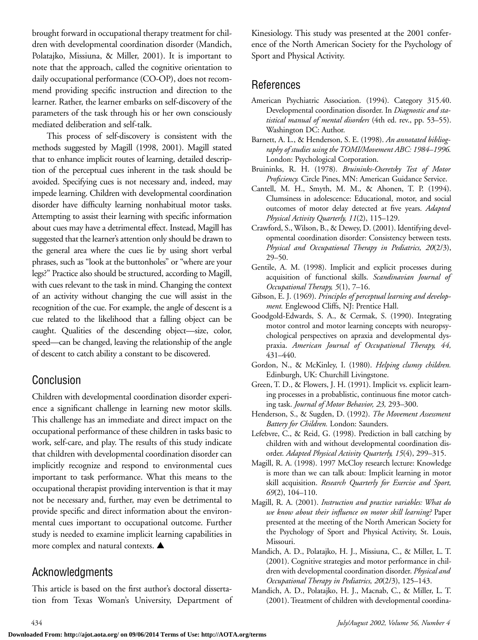brought forward in occupational therapy treatment for children with developmental coordination disorder (Mandich, Polatajko, Missiuna, & Miller, 2001). It is important to note that the approach, called the cognitive orientation to daily occupational performance (CO-OP), does not recommend providing specific instruction and direction to the learner. Rather, the learner embarks on self-discovery of the parameters of the task through his or her own consciously mediated deliberation and self-talk.

This process of self-discovery is consistent with the methods suggested by Magill (1998, 2001). Magill stated that to enhance implicit routes of learning, detailed description of the perceptual cues inherent in the task should be avoided. Specifying cues is not necessary and, indeed, may impede learning. Children with developmental coordination disorder have difficulty learning nonhabitual motor tasks. Attempting to assist their learning with specific information about cues may have a detrimental effect. Instead, Magill has suggested that the learner's attention only should be drawn to the general area where the cues lie by using short verbal phrases, such as "look at the buttonholes" or "where are your legs?" Practice also should be structured, according to Magill, with cues relevant to the task in mind. Changing the context of an activity without changing the cue will assist in the recognition of the cue. For example, the angle of descent is a cue related to the likelihood that a falling object can be caught. Qualities of the descending object—size, color, speed—can be changed, leaving the relationship of the angle of descent to catch ability a constant to be discovered.

# Conclusion

Children with developmental coordination disorder experience a significant challenge in learning new motor skills. This challenge has an immediate and direct impact on the occupational performance of these children in tasks basic to work, self-care, and play. The results of this study indicate that children with developmental coordination disorder can implicitly recognize and respond to environmental cues important to task performance. What this means to the occupational therapist providing intervention is that it may not be necessary and, further, may even be detrimental to provide specific and direct information about the environmental cues important to occupational outcome. Further study is needed to examine implicit learning capabilities in more complex and natural contexts. ▲

# Acknowledgments

This article is based on the first author's doctoral dissertation from Texas Woman's University, Department of Kinesiology. This study was presented at the 2001 conference of the North American Society for the Psychology of Sport and Physical Activity.

# References

- American Psychiatric Association. (1994). Category 315.40. Developmental coordination disorder. In *Diagnostic and statistical manual of mental disorders* (4th ed. rev., pp. 53–55). Washington DC: Author.
- Barnett, A. L., & Henderson, S. E. (1998). *An annotated bibliography of studies using the TOMI/Movement ABC: 1984–1996.* London: Psychological Corporation.
- Bruininks, R. H. (1978). *Bruininks-Oseretsky Test of Motor Proficiency.* Circle Pines, MN: American Guidance Service.
- Cantell, M. H., Smyth, M. M., & Ahonen, T. P. (1994). Clumsiness in adolescence: Educational, motor, and social outcomes of motor delay detected at five years. *Adapted Physical Activity Quarterly, 11*(2), 115–129.
- Crawford, S., Wilson, B., & Dewey, D. (2001). Identifying developmental coordination disorder: Consistency between tests. *Physical and Occupational Therapy in Pediatrics, 20*(2/3), 29–50.
- Gentile, A. M. (1998). Implicit and explicit processes during acquisition of functional skills. *Scandinavian Journal of Occupational Therapy, 5*(1), 7–16.
- Gibson, E. J. (1969). *Principles of perceptual learning and development.* Englewood Cliffs, NJ: Prentice Hall.
- Goodgold-Edwards, S. A., & Cermak, S. (1990). Integrating motor control and motor learning concepts with neuropsychological perspectives on apraxia and developmental dyspraxia. *American Journal of Occupational Therapy, 44,* 431–440.
- Gordon, N., & McKinley, I. (1980). *Helping clumsy children.* Edinburgh, UK: Churchill Livingstone.
- Green, T. D., & Flowers, J. H. (1991). Implicit vs. explicit learning processes in a probablistic, continuous fine motor catching task. *Journal of Motor Behavior, 23,* 293–300.
- Henderson, S., & Sugden, D. (1992). *The Movement Assessment Battery for Children.* London: Saunders.
- Lefebvre, C., & Reid, G. (1998). Prediction in ball catching by children with and without developmental coordination disorder. *Adapted Physical Activity Quarterly, 15*(4), 299–315.
- Magill, R. A. (1998). 1997 McCloy research lecture: Knowledge is more than we can talk about: Implicit learning in motor skill acquisition. *Research Quarterly for Exercise and Sport, 69*(2), 104–110.
- Magill, R. A. (2001). *Instruction and practice variables: What do we know about their influence on motor skill learning?* Paper presented at the meeting of the North American Society for the Psychology of Sport and Physical Activity, St. Louis, Missouri.
- Mandich, A. D., Polatajko, H. J., Missiuna, C., & Miller, L. T. (2001). Cognitive strategies and motor performance in children with developmental coordination disorder. *Physical and Occupational Therapy in Pediatrics, 20*(2/3), 125–143.
- Mandich, A. D., Polatajko, H. J., Macnab, C., & Miller, L. T. (2001). Treatment of children with developmental coordina-